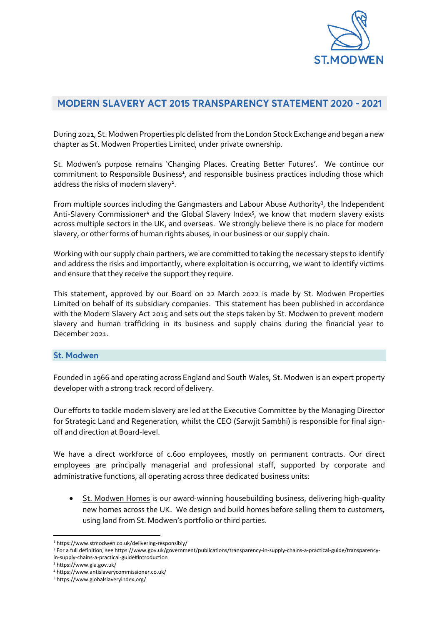

# MODERN SLAVERY ACT 2015 TRANSPARENCY STATEMENT 2020 - 2021

During 2021, St. Modwen Properties plc delisted from the London Stock Exchange and began a new chapter as St. Modwen Properties Limited, under private ownership.

St. Modwen's purpose remains 'Changing Places. Creating Better Futures'. We continue our commitment to Responsible Business<sup>1</sup>, and responsible business practices including those which address the risks of modern slavery<sup>2</sup>.

From multiple sources including the Gangmasters and Labour Abuse Authority<sup>3</sup>, the Independent Anti-Slavery Commissioner<sup>4</sup> and the Global Slavery Index<sup>5</sup>, we know that modern slavery exists across multiple sectors in the UK, and overseas. We strongly believe there is no place for modern slavery, or other forms of human rights abuses, in our business or our supply chain.

Working with our supply chain partners, we are committed to taking the necessary steps to identify and address the risks and importantly, where exploitation is occurring, we want to identify victims and ensure that they receive the support they require.

This statement, approved by our Board on 22 March 2022 is made by St. Modwen Properties Limited on behalf of its subsidiary companies. This statement has been published in accordance with the Modern Slavery Act 2015 and sets out the steps taken by St. Modwen to prevent modern slavery and human trafficking in its business and supply chains during the financial year to December 2021.

## **St. Modwen**

Founded in 1966 and operating across England and South Wales, St. Modwen is an expert property developer with a strong track record of delivery.

Our efforts to tackle modern slavery are led at the Executive Committee by the Managing Director for Strategic Land and Regeneration, whilst the CEO (Sarwjit Sambhi) is responsible for final signoff and direction at Board-level.

We have a direct workforce of c.600 employees, mostly on permanent contracts. Our direct employees are principally managerial and professional staff, supported by corporate and administrative functions, all operating across three dedicated business units:

St. Modwen Homes is our award-winning housebuilding business, delivering high-quality new homes across the UK. We design and build homes before selling them to customers, using land from St. Modwen's portfolio or third parties.

<sup>1</sup> <https://www.stmodwen.co.uk/delivering-responsibly/>

<sup>2</sup> For a full definition, se[e https://www.gov.uk/government/publications/transparency-in-supply-chains-a-practical-guide/transparency](https://www.gov.uk/government/publications/transparency-in-supply-chains-a-practical-guide/transparency-in-supply-chains-a-practical-guide#introduction)[in-supply-chains-a-practical-guide#introduction](https://www.gov.uk/government/publications/transparency-in-supply-chains-a-practical-guide/transparency-in-supply-chains-a-practical-guide#introduction)

<sup>3</sup> <https://www.gla.gov.uk/>

<sup>4</sup> <https://www.antislaverycommissioner.co.uk/>

<sup>5</sup> <https://www.globalslaveryindex.org/>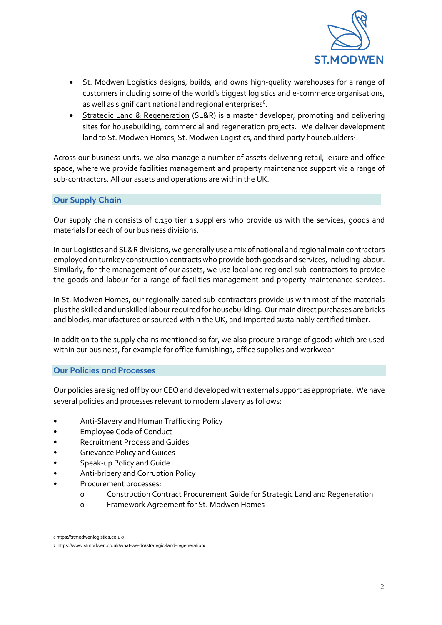

- St. Modwen Logistics designs, builds, and owns high-quality warehouses for a range of customers including some of the world's biggest logistics and e-commerce organisations, as well as significant national and regional enterprises<sup>6</sup>.
- Strategic Land & Regeneration (SL&R) is a master developer, promoting and delivering sites for housebuilding, commercial and regeneration projects. We deliver development land to St. Modwen Homes, St. Modwen Logistics, and third-party housebuilders<sup>7</sup>.

Across our business units, we also manage a number of assets delivering retail, leisure and office space, where we provide facilities management and property maintenance support via a range of sub-contractors. All our assets and operations are within the UK.

## **Our Supply Chain**

Our supply chain consists of c.150 tier 1 suppliers who provide us with the services, goods and materials for each of our business divisions.

In our Logistics and SL&R divisions, we generally use a mix of national and regional main contractors employed on turnkey construction contracts who provide both goods and services, including labour. Similarly, for the management of our assets, we use local and regional sub-contractors to provide the goods and labour for a range of facilities management and property maintenance services.

In St. Modwen Homes, our regionally based sub-contractors provide us with most of the materials plus the skilled and unskilled labour required for housebuilding. Our main direct purchases are bricks and blocks, manufactured or sourced within the UK, and imported sustainably certified timber.

In addition to the supply chains mentioned so far, we also procure a range of goods which are used within our business, for example for office furnishings, office supplies and workwear.

## **Our Policies and Processes**

Our policies are signed off by our CEO and developed with external support as appropriate. We have several policies and processes relevant to modern slavery as follows:

- Anti-Slavery and Human Trafficking Policy
- Employee Code of Conduct
- Recruitment Process and Guides
- Grievance Policy and Guides
- Speak-up Policy and Guide
- Anti-bribery and Corruption Policy
- Procurement processes:
	- o Construction Contract Procurement Guide for Strategic Land and Regeneration
	- o Framework Agreement for St. Modwen Homes

<sup>6</sup> <https://stmodwenlogistics.co.uk/>

<sup>7</sup> <https://www.stmodwen.co.uk/what-we-do/strategic-land-regeneration/>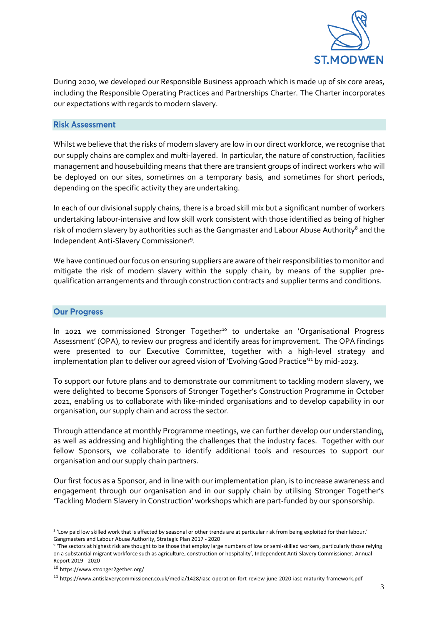

During 2020, we developed our Responsible Business approach which is made up of six core areas, including the Responsible Operating Practices and Partnerships Charter. The Charter incorporates our expectations with regards to modern slavery.

#### **Risk Assessment**

Whilst we believe that the risks of modern slavery are low in our direct workforce, we recognise that our supply chains are complex and multi-layered. In particular, the nature of construction, facilities management and housebuilding means that there are transient groups of indirect workers who will be deployed on our sites, sometimes on a temporary basis, and sometimes for short periods, depending on the specific activity they are undertaking.

In each of our divisional supply chains, there is a broad skill mix but a significant number of workers undertaking labour-intensive and low skill work consistent with those identified as being of higher risk of modern slavery by authorities such as the Gangmaster and Labour Abuse Authority<sup>8</sup> and the Independent Anti-Slavery Commissioner<sup>9</sup>.

We have continued our focus on ensuring suppliers are aware of their responsibilities to monitor and mitigate the risk of modern slavery within the supply chain, by means of the supplier prequalification arrangements and through construction contracts and supplier terms and conditions.

#### **Our Progress**

In 2021 we commissioned Stronger Together<sup>10</sup> to undertake an 'Organisational Progress Assessment' (OPA), to review our progress and identify areas for improvement. The OPA findings were presented to our Executive Committee, together with a high-level strategy and implementation plan to deliver our agreed vision of 'Evolving Good Practice'<sup>11</sup> by mid-2023.

To support our future plans and to demonstrate our commitment to tackling modern slavery, we were delighted to become Sponsors of Stronger Together's Construction Programme in October 2021, enabling us to collaborate with like-minded organisations and to develop capability in our organisation, our supply chain and across the sector.

Through attendance at monthly Programme meetings, we can further develop our understanding, as well as addressing and highlighting the challenges that the industry faces. Together with our fellow Sponsors, we collaborate to identify additional tools and resources to support our organisation and our supply chain partners.

Our first focus as a Sponsor, and in line with our implementation plan, is to increase awareness and engagement through our organisation and in our supply chain by utilising Stronger Together's 'Tackling Modern Slavery in Construction' workshops which are part-funded by our sponsorship.

<sup>8</sup> 'Low paid low skilled work that is affected by seasonal or other trends are at particular risk from being exploited for their labour.' Gangmasters and Labour Abuse Authority, Strategic Plan 2017 - 2020

<sup>&</sup>lt;sup>9</sup> 'The sectors at highest risk are thought to be those that employ large numbers of low or semi-skilled workers, particularly those relying on a substantial migrant workforce such as agriculture, construction or hospitality', Independent Anti-Slavery Commissioner, Annual Report 2019 - 2020

<sup>10</sup> <https://www.stronger2gether.org/>

<sup>11</sup> <https://www.antislaverycommissioner.co.uk/media/1428/iasc-operation-fort-review-june-2020-iasc-maturity-framework.pdf>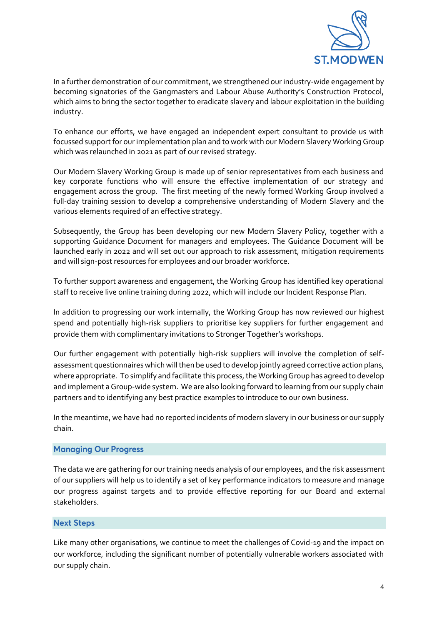

In a further demonstration of our commitment, we strengthened our industry-wide engagement by becoming signatories of the Gangmasters and Labour Abuse Authority's Construction Protocol, which aims to bring the sector together to eradicate slavery and labour exploitation in the building industry.

To enhance our efforts, we have engaged an independent expert consultant to provide us with focussed support for our implementation plan and to work with our Modern Slavery Working Group which was relaunched in 2021 as part of our revised strategy.

Our Modern Slavery Working Group is made up of senior representatives from each business and key corporate functions who will ensure the effective implementation of our strategy and engagement across the group. The first meeting of the newly formed Working Group involved a full-day training session to develop a comprehensive understanding of Modern Slavery and the various elements required of an effective strategy.

Subsequently, the Group has been developing our new Modern Slavery Policy, together with a supporting Guidance Document for managers and employees. The Guidance Document will be launched early in 2022 and will set out our approach to risk assessment, mitigation requirements and will sign-post resources for employees and our broader workforce.

To further support awareness and engagement, the Working Group has identified key operational staff to receive live online training during 2022, which will include our Incident Response Plan.

In addition to progressing our work internally, the Working Group has now reviewed our highest spend and potentially high-risk suppliers to prioritise key suppliers for further engagement and provide them with complimentary invitations to Stronger Together's workshops.

Our further engagement with potentially high-risk suppliers will involve the completion of selfassessment questionnaires which will then be used to develop jointly agreed corrective action plans, where appropriate. To simplify and facilitate this process, the Working Group has agreed to develop and implement a Group-wide system. We are also looking forward to learning from our supply chain partners and to identifying any best practice examples to introduce to our own business.

In the meantime, we have had no reported incidents of modern slavery in our business or our supply chain.

## **Managing Our Progress**

The data we are gathering for our training needs analysis of our employees, and the risk assessment of our suppliers will help us to identify a set of key performance indicators to measure and manage our progress against targets and to provide effective reporting for our Board and external stakeholders.

## **Next Steps**

Like many other organisations, we continue to meet the challenges of Covid-19 and the impact on our workforce, including the significant number of potentially vulnerable workers associated with our supply chain.